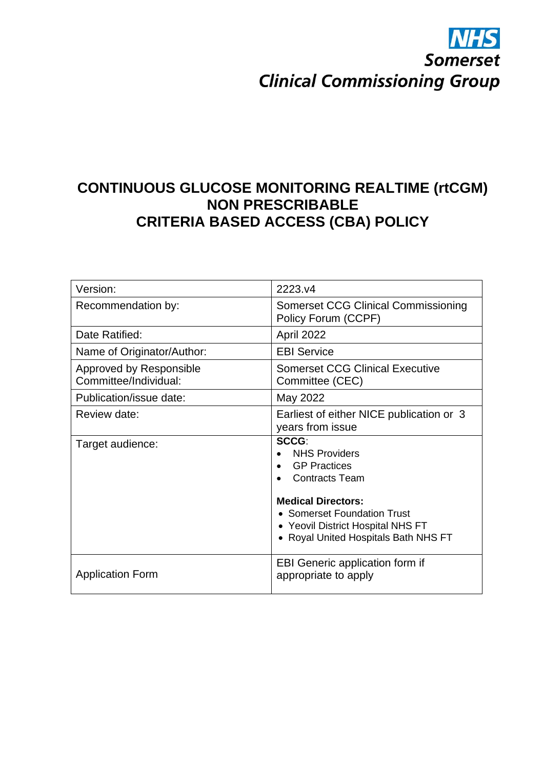# **Somerset Clinical Commissioning Group**

# **CONTINUOUS GLUCOSE MONITORING REALTIME (rtCGM) NON PRESCRIBABLE CRITERIA BASED ACCESS (CBA) POLICY**

| Version:                                                | 2223.v4                                                                                                                                                                                                                       |
|---------------------------------------------------------|-------------------------------------------------------------------------------------------------------------------------------------------------------------------------------------------------------------------------------|
| Recommendation by:                                      | Somerset CCG Clinical Commissioning<br>Policy Forum (CCPF)                                                                                                                                                                    |
| Date Ratified:                                          | April 2022                                                                                                                                                                                                                    |
| Name of Originator/Author:                              | <b>EBI Service</b>                                                                                                                                                                                                            |
| <b>Approved by Responsible</b><br>Committee/Individual: | <b>Somerset CCG Clinical Executive</b><br>Committee (CEC)                                                                                                                                                                     |
| Publication/issue date:                                 | May 2022                                                                                                                                                                                                                      |
| Review date:                                            | Earliest of either NICE publication or 3<br>years from issue                                                                                                                                                                  |
| Target audience:                                        | <b>SCCG:</b><br><b>NHS Providers</b><br><b>GP Practices</b><br><b>Contracts Team</b><br><b>Medical Directors:</b><br>• Somerset Foundation Trust<br>• Yeovil District Hospital NHS FT<br>• Royal United Hospitals Bath NHS FT |
|                                                         |                                                                                                                                                                                                                               |
| <b>Application Form</b>                                 | <b>EBI Generic application form if</b><br>appropriate to apply                                                                                                                                                                |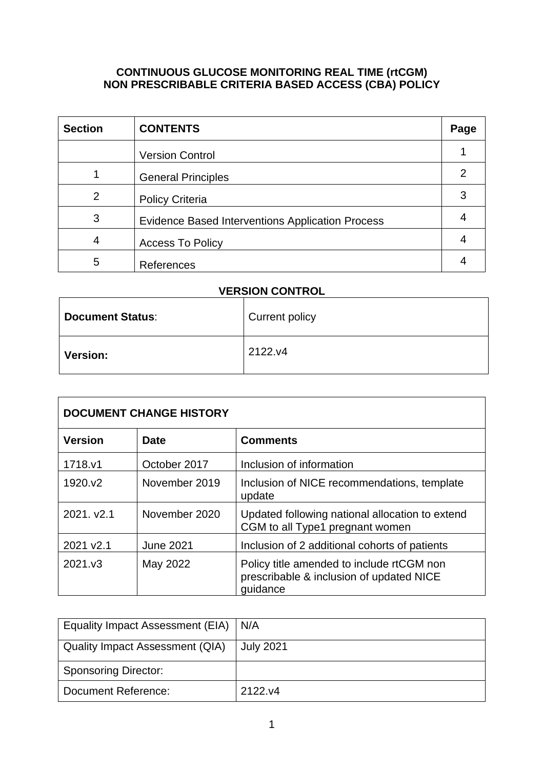# **CONTINUOUS GLUCOSE MONITORING REAL TIME (rtCGM) NON PRESCRIBABLE CRITERIA BASED ACCESS (CBA) POLICY**

| <b>Section</b> | <b>CONTENTS</b>                                         | Page |
|----------------|---------------------------------------------------------|------|
|                | <b>Version Control</b>                                  |      |
|                | <b>General Principles</b>                               |      |
| $\overline{2}$ | <b>Policy Criteria</b>                                  |      |
| 3              | <b>Evidence Based Interventions Application Process</b> |      |
| 4              | <b>Access To Policy</b>                                 |      |
| 5              | References                                              |      |

# **VERSION CONTROL**

| <b>Document Status:</b> | <b>Current policy</b> |
|-------------------------|-----------------------|
| <b>Version:</b>         | 2122.y4               |

| <b>DOCUMENT CHANGE HISTORY</b> |                  |                                                                                                   |  |
|--------------------------------|------------------|---------------------------------------------------------------------------------------------------|--|
| <b>Version</b>                 | <b>Date</b>      | <b>Comments</b>                                                                                   |  |
| 1718.v1                        | October 2017     | Inclusion of information                                                                          |  |
| 1920.v2                        | November 2019    | Inclusion of NICE recommendations, template<br>update                                             |  |
| 2021. v2.1                     | November 2020    | Updated following national allocation to extend<br>CGM to all Type1 pregnant women                |  |
| 2021 v2.1                      | <b>June 2021</b> | Inclusion of 2 additional cohorts of patients                                                     |  |
| 2021.v3                        | May 2022         | Policy title amended to include rtCGM non<br>prescribable & inclusion of updated NICE<br>quidance |  |

| Equality Impact Assessment (EIA) | N/A              |
|----------------------------------|------------------|
| Quality Impact Assessment (QIA)  | <b>July 2021</b> |
| <b>Sponsoring Director:</b>      |                  |
| Document Reference:              | 2122.y4          |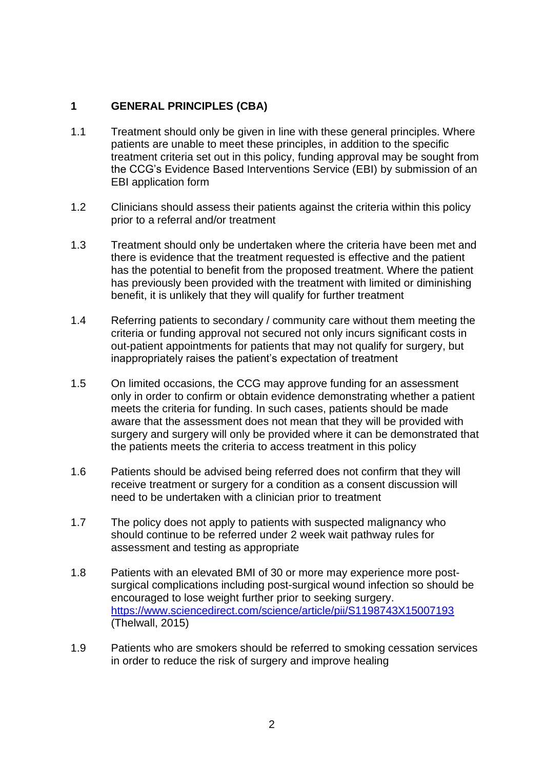# **1 GENERAL PRINCIPLES (CBA)**

- 1.1 Treatment should only be given in line with these general principles. Where patients are unable to meet these principles, in addition to the specific treatment criteria set out in this policy, funding approval may be sought from the CCG's Evidence Based Interventions Service (EBI) by submission of an EBI application form
- 1.2 Clinicians should assess their patients against the criteria within this policy prior to a referral and/or treatment
- 1.3 Treatment should only be undertaken where the criteria have been met and there is evidence that the treatment requested is effective and the patient has the potential to benefit from the proposed treatment. Where the patient has previously been provided with the treatment with limited or diminishing benefit, it is unlikely that they will qualify for further treatment
- 1.4 Referring patients to secondary / community care without them meeting the criteria or funding approval not secured not only incurs significant costs in out-patient appointments for patients that may not qualify for surgery, but inappropriately raises the patient's expectation of treatment
- 1.5 On limited occasions, the CCG may approve funding for an assessment only in order to confirm or obtain evidence demonstrating whether a patient meets the criteria for funding. In such cases, patients should be made aware that the assessment does not mean that they will be provided with surgery and surgery will only be provided where it can be demonstrated that the patients meets the criteria to access treatment in this policy
- 1.6 Patients should be advised being referred does not confirm that they will receive treatment or surgery for a condition as a consent discussion will need to be undertaken with a clinician prior to treatment
- 1.7 The policy does not apply to patients with suspected malignancy who should continue to be referred under 2 week wait pathway rules for assessment and testing as appropriate
- 1.8 Patients with an elevated BMI of 30 or more may experience more postsurgical complications including post-surgical wound infection so should be encouraged to lose weight further prior to seeking surgery. <https://www.sciencedirect.com/science/article/pii/S1198743X15007193> (Thelwall, 2015)
- 1.9 Patients who are smokers should be referred to smoking cessation services in order to reduce the risk of surgery and improve healing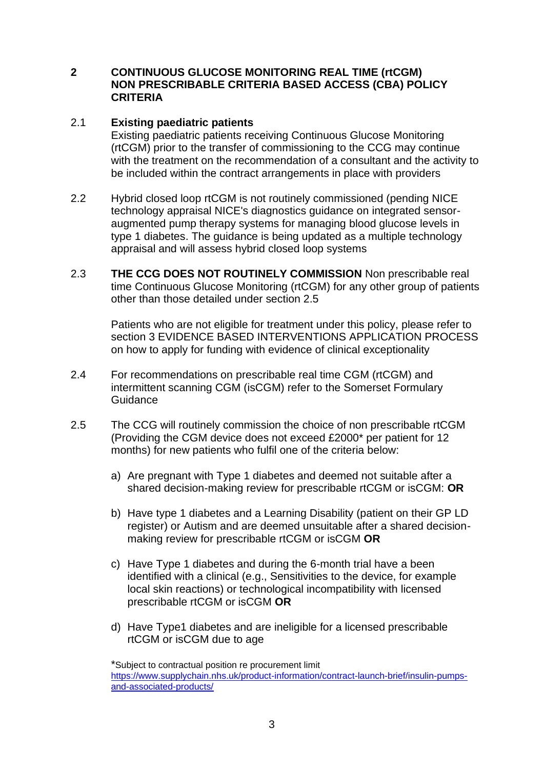#### **2 CONTINUOUS GLUCOSE MONITORING REAL TIME (rtCGM) NON PRESCRIBABLE CRITERIA BASED ACCESS (CBA) POLICY CRITERIA**

### 2.1 **Existing paediatric patients**

Existing paediatric patients receiving Continuous Glucose Monitoring (rtCGM) prior to the transfer of commissioning to the CCG may continue with the treatment on the recommendation of a consultant and the activity to be included within the contract arrangements in place with providers

- 2.2 Hybrid closed loop rtCGM is not routinely commissioned (pending NICE technology appraisal NICE's diagnostics guidance on integrated sensoraugmented pump therapy systems for managing blood glucose levels in type 1 diabetes. The guidance is being updated as a multiple technology appraisal and will assess hybrid closed loop systems
- 2.3 **THE CCG DOES NOT ROUTINELY COMMISSION** Non prescribable real time Continuous Glucose Monitoring (rtCGM) for any other group of patients other than those detailed under section 2.5

Patients who are not eligible for treatment under this policy, please refer to section 3 EVIDENCE BASED INTERVENTIONS APPLICATION PROCESS on how to apply for funding with evidence of clinical exceptionality

- 2.4 For recommendations on prescribable real time CGM (rtCGM) and intermittent scanning CGM (isCGM) refer to the Somerset Formulary **Guidance**
- 2.5 The CCG will routinely commission the choice of non prescribable rtCGM (Providing the CGM device does not exceed £2000\* per patient for 12 months) for new patients who fulfil one of the criteria below:
	- a) Are pregnant with Type 1 diabetes and deemed not suitable after a shared decision-making review for prescribable rtCGM or isCGM: **OR**
	- b) Have type 1 diabetes and a Learning Disability (patient on their GP LD register) or Autism and are deemed unsuitable after a shared decisionmaking review for prescribable rtCGM or isCGM **OR**
	- c) Have Type 1 diabetes and during the 6-month trial have a been identified with a clinical (e.g., Sensitivities to the device, for example local skin reactions) or technological incompatibility with licensed prescribable rtCGM or isCGM **OR**
	- d) Have Type1 diabetes and are ineligible for a licensed prescribable rtCGM or isCGM due to age

\*Subject to contractual position re procurement limit [https://www.supplychain.nhs.uk/product-information/contract-launch-brief/insulin-pumps](https://www.supplychain.nhs.uk/product-information/contract-launch-brief/insulin-pumps-and-associated-products/)[and-associated-products/](https://www.supplychain.nhs.uk/product-information/contract-launch-brief/insulin-pumps-and-associated-products/)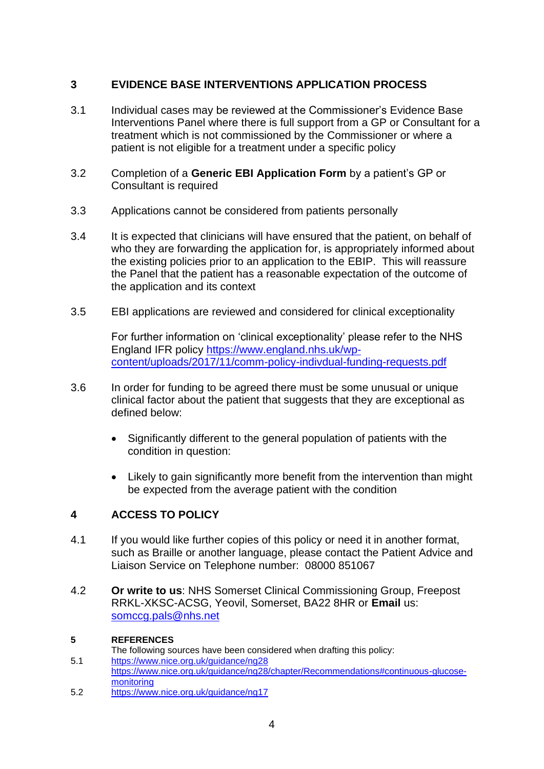# **3 EVIDENCE BASE INTERVENTIONS APPLICATION PROCESS**

- 3.1 Individual cases may be reviewed at the Commissioner's Evidence Base Interventions Panel where there is full support from a GP or Consultant for a treatment which is not commissioned by the Commissioner or where a patient is not eligible for a treatment under a specific policy
- 3.2 Completion of a **Generic EBI Application Form** by a patient's GP or Consultant is required
- 3.3 Applications cannot be considered from patients personally
- 3.4 It is expected that clinicians will have ensured that the patient, on behalf of who they are forwarding the application for, is appropriately informed about the existing policies prior to an application to the EBIP. This will reassure the Panel that the patient has a reasonable expectation of the outcome of the application and its context
- 3.5 EBI applications are reviewed and considered for clinical exceptionality

For further information on 'clinical exceptionality' please refer to the NHS England IFR policy [https://www.england.nhs.uk/wp](https://www.england.nhs.uk/wp-content/uploads/2017/11/comm-policy-indivdual-funding-requests.pdf)[content/uploads/2017/11/comm-policy-indivdual-funding-requests.pdf](https://www.england.nhs.uk/wp-content/uploads/2017/11/comm-policy-indivdual-funding-requests.pdf)

- 3.6 In order for funding to be agreed there must be some unusual or unique clinical factor about the patient that suggests that they are exceptional as defined below:
	- Significantly different to the general population of patients with the condition in question:
	- Likely to gain significantly more benefit from the intervention than might be expected from the average patient with the condition

# **4 ACCESS TO POLICY**

- 4.1 If you would like further copies of this policy or need it in another format, such as Braille or another language, please contact the Patient Advice and Liaison Service on Telephone number: 08000 851067
- 4.2 **Or write to us**: NHS Somerset Clinical Commissioning Group, Freepost RRKL-XKSC-ACSG, Yeovil, Somerset, BA22 8HR or **Email** us: [somccg.pals@nhs.net](mailto:somccg.pals@nhs.net)

#### **5 REFERENCES**

The following sources have been considered when drafting this policy:

- 5.1 <https://www.nice.org.uk/guidance/ng28> [https://www.nice.org.uk/guidance/ng28/chapter/Recommendations#continuous-glucose](https://www.nice.org.uk/guidance/ng28/chapter/Recommendations#continuous-glucose-monitoring)[monitoring](https://www.nice.org.uk/guidance/ng28/chapter/Recommendations#continuous-glucose-monitoring)
- 5.2 <https://www.nice.org.uk/guidance/ng17>